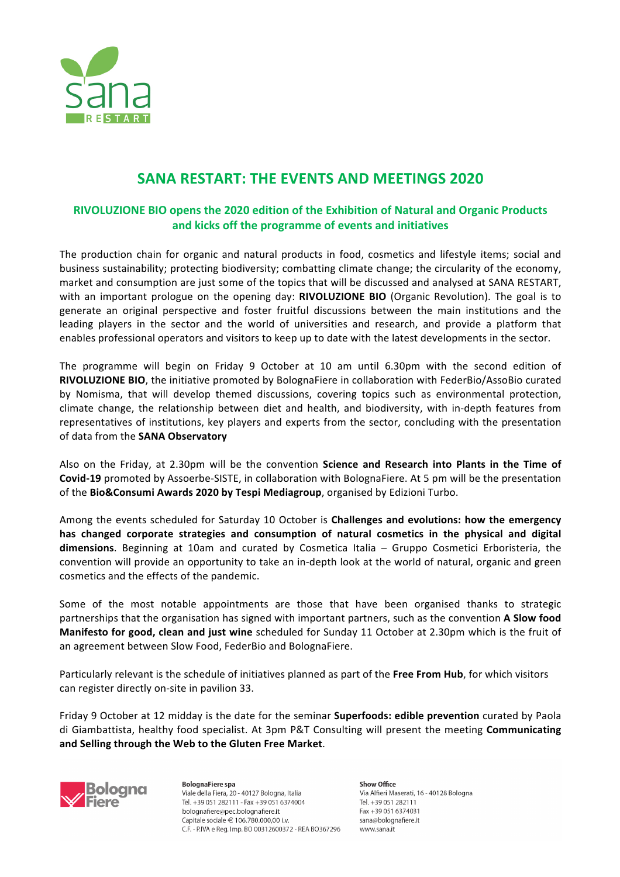

# **SANA RESTART: THE EVENTS AND MEETINGS 2020**

# **RIVOLUZIONE BIO opens the 2020 edition of the Exhibition of Natural and Organic Products** and kicks off the programme of events and initiatives

The production chain for organic and natural products in food, cosmetics and lifestyle items; social and business sustainability; protecting biodiversity; combatting climate change; the circularity of the economy, market and consumption are just some of the topics that will be discussed and analysed at SANA RESTART, with an important prologue on the opening day: RIVOLUZIONE BIO (Organic Revolution). The goal is to generate an original perspective and foster fruitful discussions between the main institutions and the leading players in the sector and the world of universities and research, and provide a platform that enables professional operators and visitors to keep up to date with the latest developments in the sector.

The programme will begin on Friday 9 October at 10 am until  $6.30 \text{pm}$  with the second edition of **RIVOLUZIONE BIO**, the initiative promoted by BolognaFiere in collaboration with FederBio/AssoBio curated by Nomisma, that will develop themed discussions, covering topics such as environmental protection, climate change, the relationship between diet and health, and biodiversity, with in-depth features from representatives of institutions, key players and experts from the sector, concluding with the presentation of data from the **SANA Observatory** 

Also on the Friday, at 2.30pm will be the convention **Science and Research into Plants in the Time of Covid-19** promoted by Assoerbe-SISTE, in collaboration with BolognaFiere. At 5 pm will be the presentation of the **Bio&Consumi Awards 2020 by Tespi Mediagroup**, organised by Edizioni Turbo.

Among the events scheduled for Saturday 10 October is **Challenges and evolutions: how the emergency** has changed corporate strategies and consumption of natural cosmetics in the physical and digital **dimensions**. Beginning at 10am and curated by Cosmetica Italia – Gruppo Cosmetici Erboristeria, the convention will provide an opportunity to take an in-depth look at the world of natural, organic and green cosmetics and the effects of the pandemic.

Some of the most notable appointments are those that have been organised thanks to strategic partnerships that the organisation has signed with important partners, such as the convention A Slow food **Manifesto for good, clean and just wine** scheduled for Sunday 11 October at 2.30pm which is the fruit of an agreement between Slow Food, FederBio and BolognaFiere.

Particularly relevant is the schedule of initiatives planned as part of the Free From Hub, for which visitors can register directly on-site in pavilion 33.

Friday 9 October at 12 midday is the date for the seminar **Superfoods: edible prevention** curated by Paola di Giambattista, healthy food specialist. At 3pm P&T Consulting will present the meeting **Communicating and Selling through the Web to the Gluten Free Market**.



**BolognaFiere** spa Viale della Fiera, 20 - 40127 Bologna, Italia Tel. +39 051 282111 - Fax +39 051 6374004 bolognafiere@pec.bolognafiere.it Capitale sociale € 106.780.000,00 i.v. C.F. - P.IVA e Reg. Imp. BO 00312600372 - REA BO367296 Show Office Via Alfieri Maserati, 16 - 40128 Bologna Tel +39 051 282111 Fax +39 051 6374031 sana@bolognafiere.it www.sana.it